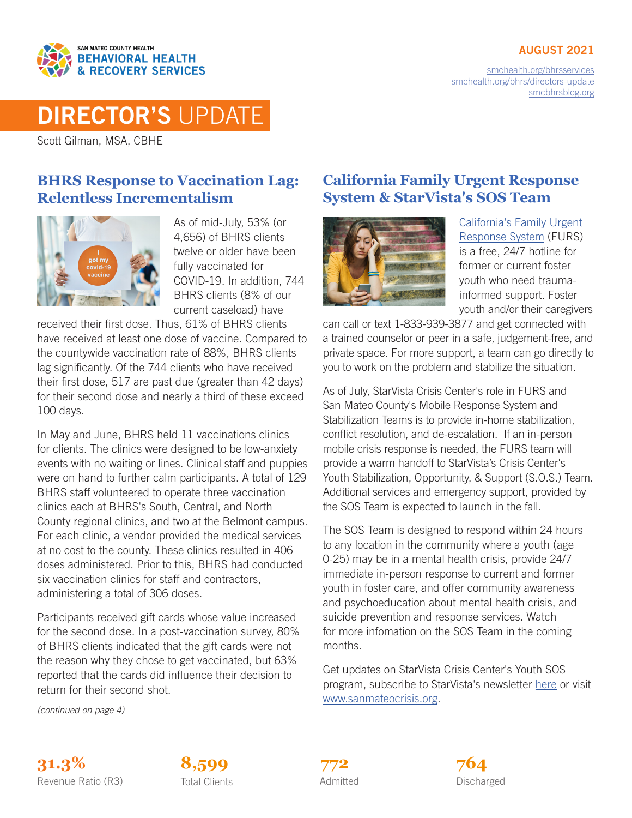### AUGUST 2021



[smchealth.org/bhrsservices](https://www.smchealth.org/bhrsservices) [smchealth.org/bhrs/directors-update](https://www.smchealth.org/bhrs/directors-update) [smcbhrsblog.org](http://www.smcbhrsblog.org)

# DIRECTOR'S UPDATE

Scott Gilman, MSA, CBHE

# **BHRS Response to Vaccination Lag: Relentless Incrementalism**



As of mid-July, 53% (or 4,656) of BHRS clients twelve or older have been fully vaccinated for COVID-19. In addition, 744 BHRS clients (8% of our current caseload) have

received their first dose. Thus, 61% of BHRS clients have received at least one dose of vaccine. Compared to the countywide vaccination rate of 88%, BHRS clients lag significantly. Of the 744 clients who have received their first dose, 517 are past due (greater than 42 days) for their second dose and nearly a third of these exceed 100 days.

In May and June, BHRS held 11 vaccinations clinics for clients. The clinics were designed to be low-anxiety events with no waiting or lines. Clinical staff and puppies were on hand to further calm participants. A total of 129 BHRS staff volunteered to operate three vaccination clinics each at BHRS's South, Central, and North County regional clinics, and two at the Belmont campus. For each clinic, a vendor provided the medical services at no cost to the county. These clinics resulted in 406 doses administered. Prior to this, BHRS had conducted six vaccination clinics for staff and contractors, administering a total of 306 doses.

Participants received gift cards whose value increased for the second dose. In a post-vaccination survey, 80% of BHRS clients indicated that the gift cards were not the reason why they chose to get vaccinated, but 63% reported that the cards did influence their decision to return for their second shot.

*(continued on page 4)*

# **California Family Urgent Response System & StarVista's SOS Team**



[California's Family Urgent](https://www.cal-furs.org/)  [Response System](https://www.cal-furs.org/) (FURS) is a free, 24/7 hotline for former or current foster youth who need traumainformed support. Foster youth and/or their caregivers

can call or text 1-833-939-3877 and get connected with a trained counselor or peer in a safe, judgement-free, and private space. For more support, a team can go directly to you to work on the problem and stabilize the situation.

As of July, StarVista Crisis Center's role in FURS and San Mateo County's Mobile Response System and Stabilization Teams is to provide in-home stabilization, conflict resolution, and de-escalation. If an in-person mobile crisis response is needed, the FURS team will provide a warm handoff to StarVista's Crisis Center's Youth Stabilization, Opportunity, & Support (S.O.S.) Team. Additional services and emergency support, provided by the SOS Team is expected to launch in the fall.

The SOS Team is designed to respond within 24 hours to any location in the community where a youth (age 0-25) may be in a mental health crisis, provide 24/7 immediate in-person response to current and former youth in foster care, and offer community awareness and psychoeducation about mental health crisis, and suicide prevention and response services. Watch for more infomation on the SOS Team in the coming months.

Get updates on StarVista Crisis Center's Youth SOS program, subscribe to StarVista's newsletter [here](https://star-vista.org/news/newsletters/) or visit [www.sanmateocrisis.org](http://www.sanmateocrisis.org).

**31.3% 8,599 764** Revenue Ratio (R3) Total Clients Communication Admitted Clients Discharged



Admitted **772**

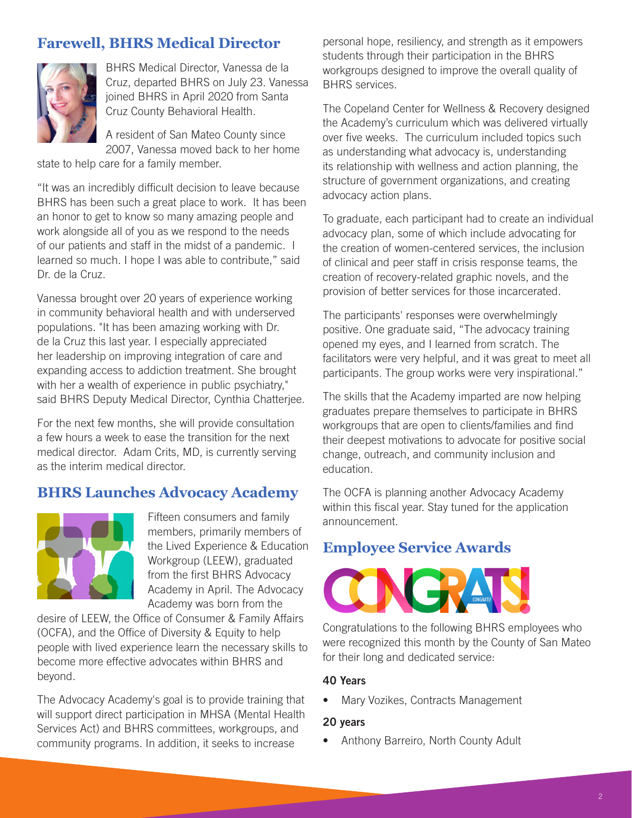# **Farewell, BHRS Medical Director**



BHRS Medical Director, Vanessa de la Cruz, departed BHRS on July 23. Vanessa joined BHRS in April 2020 from Santa Cruz County Behavioral Health.

A resident of San Mateo County since 2007, Vanessa moved back to her home

state to help care for a family member.

"It was an incredibly difficult decision to leave because BHRS has been such a great place to work. It has been an honor to get to know so many amazing people and work alongside all of you as we respond to the needs of our patients and staff in the midst of a pandemic. I learned so much. I hope I was able to contribute," said Dr. de la Cruz.

Vanessa brought over 20 years of experience working in community behavioral health and with underserved populations. "It has been amazing working with Dr. de la Cruz this last year. I especially appreciated her leadership on improving integration of care and expanding access to addiction treatment. She brought with her a wealth of experience in public psychiatry," said BHRS Deputy Medical Director, Cynthia Chatterjee.

For the next few months, she will provide consultation a few hours a week to ease the transition for the next medical director. Adam Crits, MD, is currently serving as the interim medical director.

### **BHRS Launches Advocacy Academy**



Fifteen consumers and family members, primarily members of the Lived Experience & Education Workgroup (LEEW), graduated from the first BHRS Advocacy Academy in April. The Advocacy Academy was born from the

desire of LEEW, the Office of Consumer & Family Affairs (OCFA), and the Office of Diversity & Equity to help people with lived experience learn the necessary skills to become more effective advocates within BHRS and beyond.

The Advocacy Academy's goal is to provide training that will support direct participation in MHSA (Mental Health Services Act) and BHRS committees, workgroups, and community programs. In addition, it seeks to increase

personal hope, resiliency, and strength as it empowers students through their participation in the BHRS workgroups designed to improve the overall quality of BHRS services.

The Copeland Center for Wellness & Recovery designed the Academy's curriculum which was delivered virtually over five weeks. The curriculum included topics such as understanding what advocacy is, understanding its relationship with wellness and action planning, the structure of government organizations, and creating advocacy action plans.

To graduate, each participant had to create an individual advocacy plan, some of which include advocating for the creation of women-centered services, the inclusion of clinical and peer staff in crisis response teams, the creation of recovery-related graphic novels, and the provision of better services for those incarcerated.

The participants' responses were overwhelmingly positive. One graduate said, "The advocacy training opened my eyes, and I learned from scratch. The facilitators were very helpful, and it was great to meet all participants. The group works were very inspirational."

The skills that the Academy imparted are now helping graduates prepare themselves to participate in BHRS workgroups that are open to clients/families and find their deepest motivations to advocate for positive social change, outreach, and community inclusion and education.

The OCFA is planning another Advocacy Academy within this fiscal year. Stay tuned for the application announcement.

## **Employee Service Awards**



Congratulations to the following BHRS employees who were recognized this month by the County of San Mateo for their long and dedicated service:

#### 40 Years

• Mary Vozikes, Contracts Management

#### 20 years

• Anthony Barreiro, North County Adult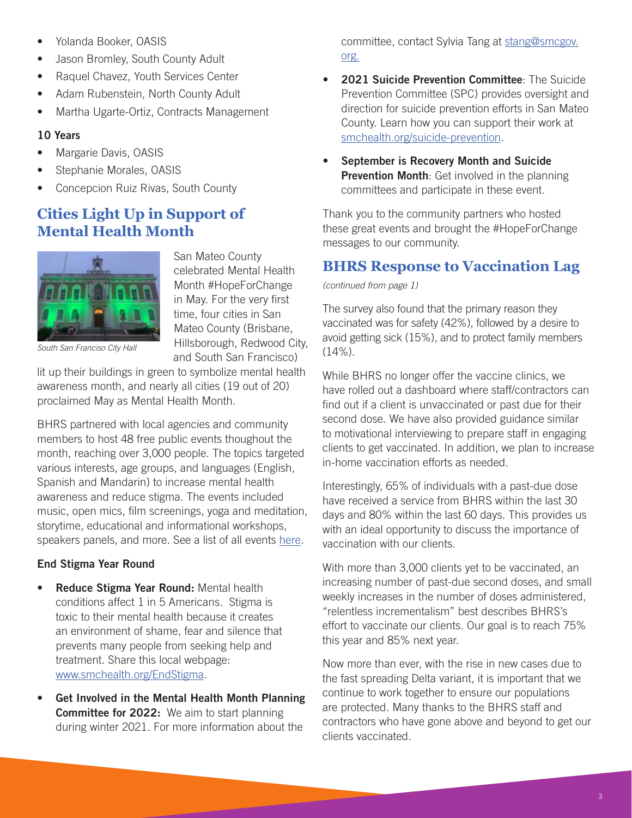- Yolanda Booker, OASIS
- Jason Bromley, South County Adult
- Raquel Chavez, Youth Services Center
- Adam Rubenstein, North County Adult
- Martha Ugarte-Ortiz, Contracts Management

### 10 Years

- Margarie Davis, OASIS
- Stephanie Morales, OASIS
- Concepcion Ruiz Rivas, South County

# **Cities Light Up in Support of Mental Health Month**



San Mateo County celebrated Mental Health Month #HopeForChange in May. For the very first time, four cities in San Mateo County (Brisbane, Hillsborough, Redwood City, and South San Francisco)

*South San Franciso City Hall*

lit up their buildings in green to symbolize mental health awareness month, and nearly all cities (19 out of 20) proclaimed May as Mental Health Month.

BHRS partnered with local agencies and community members to host 48 free public events thoughout the month, reaching over 3,000 people. The topics targeted various interests, age groups, and languages (English, Spanish and Mandarin) to increase mental health awareness and reduce stigma. The events included music, open mics, film screenings, yoga and meditation, storytime, educational and informational workshops, speakers panels, and more. See a list of all events [here](https://www.smchealth.org/post/mental-health-month).

### End Stigma Year Round

- Reduce Stigma Year Round: Mental health conditions affect 1 in 5 Americans. Stigma is toxic to their mental health because it creates an environment of shame, fear and silence that prevents many people from seeking help and treatment. Share this local webpage: [www.smchealth.org/EndStigma.](http://www.smchealth.org/EndStigma)
- Get Involved in the Mental Health Month Planning Committee for 2022: We aim to start planning during winter 2021. For more information about the

committee, contact Sylvia Tang at [stang@smcgov.](mailto:stang%40smcgov.org?subject=) [org](mailto:stang%40smcgov.org?subject=).

- 2021 Suicide Prevention Committee: The Suicide Prevention Committee (SPC) provides oversight and direction for suicide prevention efforts in San Mateo County. Learn how you can support their work at [smchealth.org/suicide-prevention](http://smchealth.org/suicide-prevention).
- September is Recovery Month and Suicide Prevention Month: Get involved in the planning committees and participate in these event.

Thank you to the community partners who hosted these great events and brought the #HopeForChange messages to our community.

## **BHRS Response to Vaccination Lag**

*(continued from page 1)*

The survey also found that the primary reason they vaccinated was for safety (42%), followed by a desire to avoid getting sick (15%), and to protect family members (14%).

While BHRS no longer offer the vaccine clinics, we have rolled out a dashboard where staff/contractors can find out if a client is unvaccinated or past due for their second dose. We have also provided guidance similar to motivational interviewing to prepare staff in engaging clients to get vaccinated. In addition, we plan to increase in-home vaccination efforts as needed.

Interestingly, 65% of individuals with a past-due dose have received a service from BHRS within the last 30 days and 80% within the last 60 days. This provides us with an ideal opportunity to discuss the importance of vaccination with our clients.

With more than 3,000 clients yet to be vaccinated, an increasing number of past-due second doses, and small weekly increases in the number of doses administered, "relentless incrementalism" best describes BHRS's effort to vaccinate our clients. Our goal is to reach 75% this year and 85% next year.

Now more than ever, with the rise in new cases due to the fast spreading Delta variant, it is important that we continue to work together to ensure our populations are protected. Many thanks to the BHRS staff and contractors who have gone above and beyond to get our clients vaccinated.